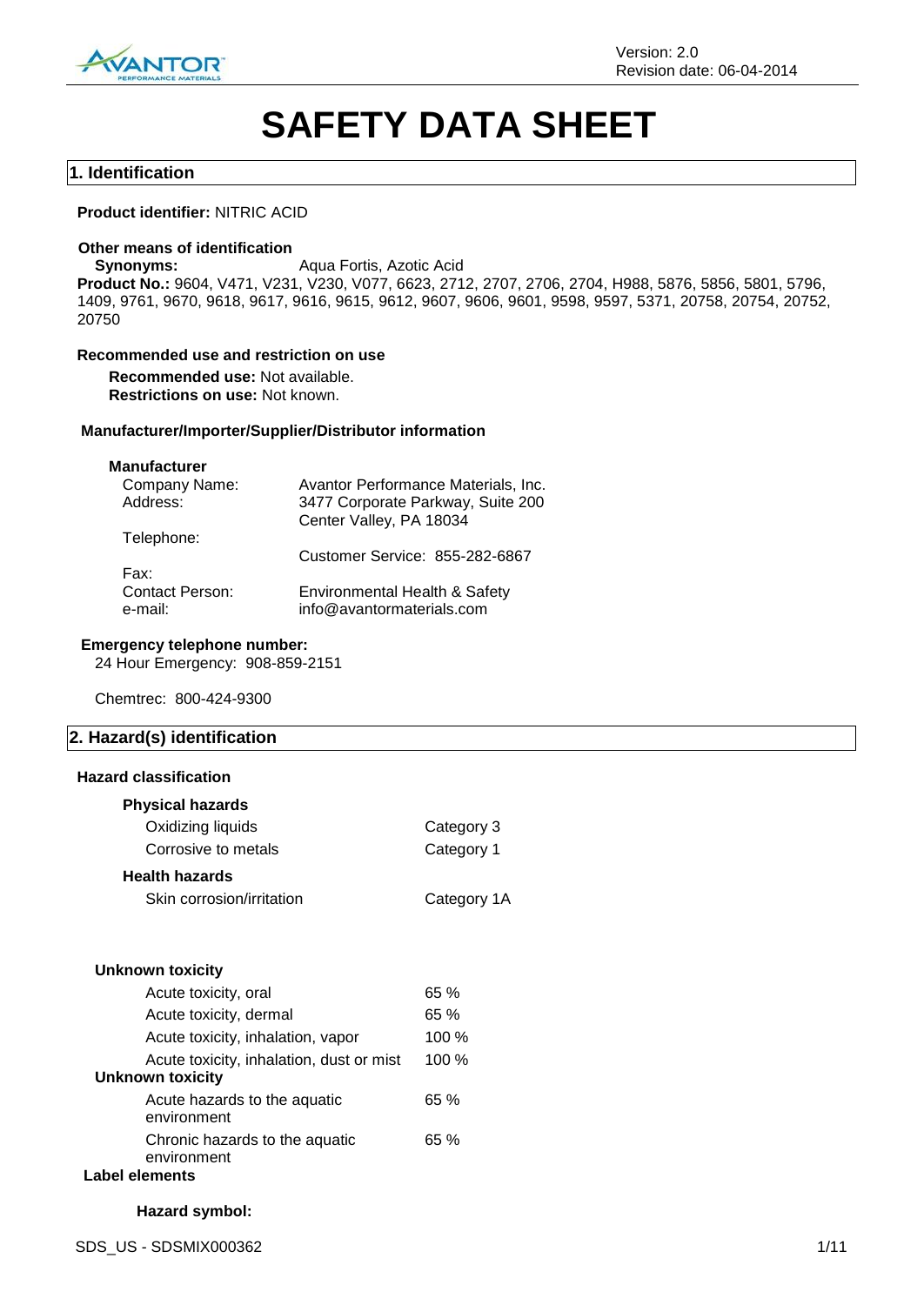

# **SAFETY DATA SHEET**

#### **1. Identification**

#### **Product identifier:** NITRIC ACID

#### **Other means of identification**

**Synonyms:** Aqua Fortis, Azotic Acid

**Product No.:** 9604, V471, V231, V230, V077, 6623, 2712, 2707, 2706, 2704, H988, 5876, 5856, 5801, 5796, 1409, 9761, 9670, 9618, 9617, 9616, 9615, 9612, 9607, 9606, 9601, 9598, 9597, 5371, 20758, 20754, 20752, 20750

#### **Recommended use and restriction on use**

**Recommended use:** Not available. **Restrictions on use:** Not known.

#### **Manufacturer/Importer/Supplier/Distributor information**

#### **Manufacturer**

| Company Name:<br>Address:                 | Avantor Performance Materials, Inc.<br>3477 Corporate Parkway, Suite 200<br>Center Valley, PA 18034 |
|-------------------------------------------|-----------------------------------------------------------------------------------------------------|
| Telephone:                                | Customer Service: 855-282-6867                                                                      |
| Fax:<br><b>Contact Person:</b><br>e-mail: | Environmental Health & Safety<br>info@avantormaterials.com                                          |

#### **Emergency telephone number:**

24 Hour Emergency: 908-859-2151

Chemtrec: 800-424-9300

## **2. Hazard(s) identification**

#### **Hazard classification**

| <b>Physical hazards</b>                       |             |
|-----------------------------------------------|-------------|
| Oxidizing liquids                             | Category 3  |
| Corrosive to metals                           | Category 1  |
| <b>Health hazards</b>                         |             |
| Skin corrosion/irritation                     | Category 1A |
|                                               |             |
| Unknown toxicity                              |             |
| Acute toxicity, oral                          | 65 %        |
| Acute toxicity, dermal                        | 65 %        |
| Acute toxicity, inhalation, vapor             | 100 %       |
| Acute toxicity, inhalation, dust or mist      | 100 %       |
| <b>Unknown toxicity</b>                       |             |
| Acute hazards to the aquatic<br>environment   | 65 %        |
| Chronic hazards to the aquatic<br>environment | 65 %        |
| Label elements                                |             |

## **Hazard symbol:**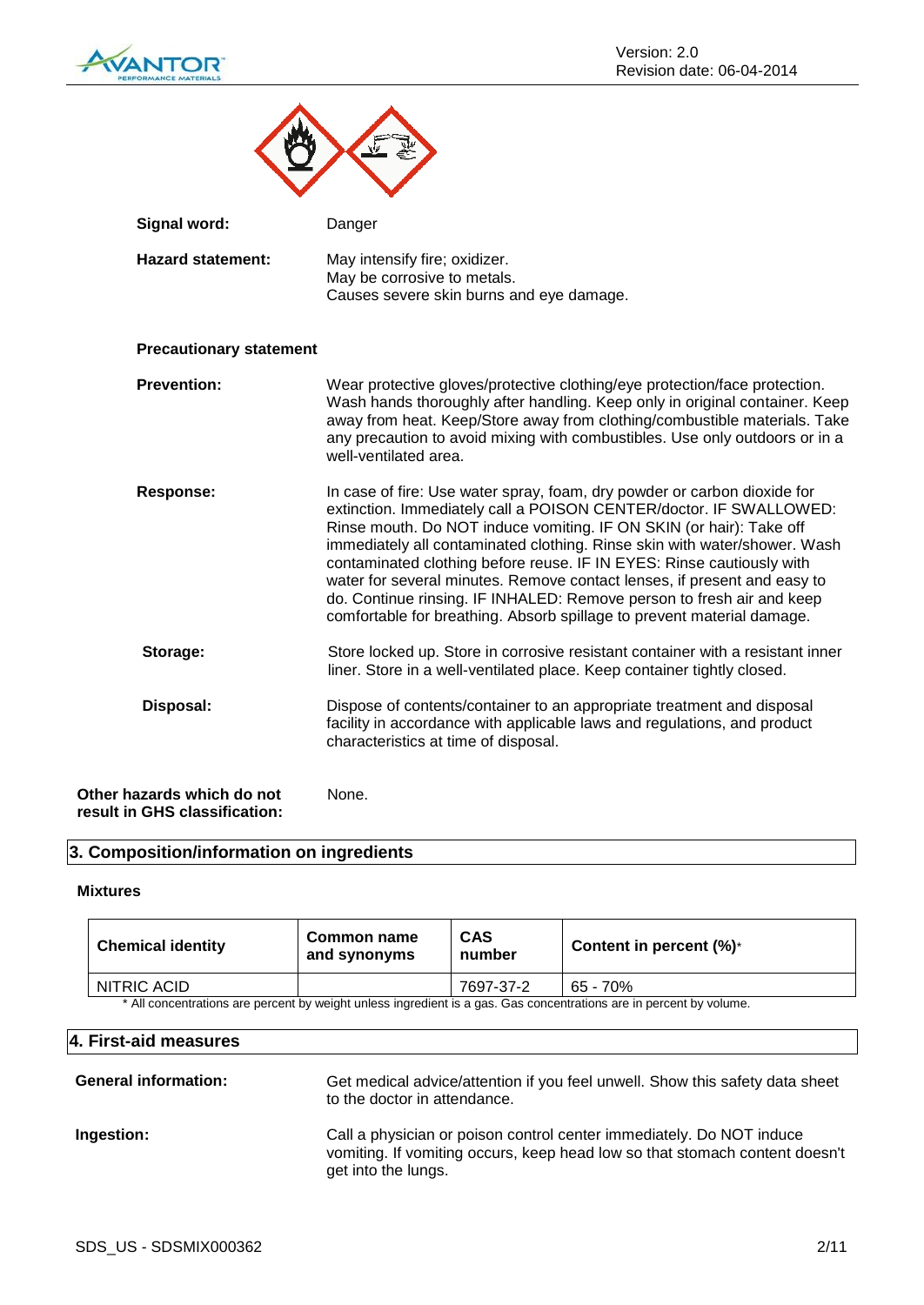

| <b>Signal word:</b>            | Danger                                                                                                                                                                                                                                                                                                                                                                                                                                                                                                                                                                                                     |
|--------------------------------|------------------------------------------------------------------------------------------------------------------------------------------------------------------------------------------------------------------------------------------------------------------------------------------------------------------------------------------------------------------------------------------------------------------------------------------------------------------------------------------------------------------------------------------------------------------------------------------------------------|
| <b>Hazard statement:</b>       | May intensify fire; oxidizer.<br>May be corrosive to metals.<br>Causes severe skin burns and eye damage.                                                                                                                                                                                                                                                                                                                                                                                                                                                                                                   |
| <b>Precautionary statement</b> |                                                                                                                                                                                                                                                                                                                                                                                                                                                                                                                                                                                                            |
| <b>Prevention:</b>             | Wear protective gloves/protective clothing/eye protection/face protection.<br>Wash hands thoroughly after handling. Keep only in original container. Keep<br>away from heat. Keep/Store away from clothing/combustible materials. Take<br>any precaution to avoid mixing with combustibles. Use only outdoors or in a<br>well-ventilated area.                                                                                                                                                                                                                                                             |
| <b>Response:</b>               | In case of fire: Use water spray, foam, dry powder or carbon dioxide for<br>extinction. Immediately call a POISON CENTER/doctor. IF SWALLOWED:<br>Rinse mouth. Do NOT induce vomiting. IF ON SKIN (or hair): Take off<br>immediately all contaminated clothing. Rinse skin with water/shower. Wash<br>contaminated clothing before reuse. IF IN EYES: Rinse cautiously with<br>water for several minutes. Remove contact lenses, if present and easy to<br>do. Continue rinsing. IF INHALED: Remove person to fresh air and keep<br>comfortable for breathing. Absorb spillage to prevent material damage. |
| Storage:                       | Store locked up. Store in corrosive resistant container with a resistant inner<br>liner. Store in a well-ventilated place. Keep container tightly closed.                                                                                                                                                                                                                                                                                                                                                                                                                                                  |
| Disposal:                      | Dispose of contents/container to an appropriate treatment and disposal<br>facility in accordance with applicable laws and regulations, and product<br>characteristics at time of disposal.                                                                                                                                                                                                                                                                                                                                                                                                                 |
| Other hazards which do not     | None.                                                                                                                                                                                                                                                                                                                                                                                                                                                                                                                                                                                                      |

```
result in GHS classification:
```
## **3. Composition/information on ingredients**

## **Mixtures**

| <b>Chemical identity</b>                                                                                            | Common name<br>and synonyms | <b>CAS</b><br>number | Content in percent $(\%)^*$ |  |  |
|---------------------------------------------------------------------------------------------------------------------|-----------------------------|----------------------|-----------------------------|--|--|
| NITRIC ACID<br>7697-37-2<br>65 - 70%                                                                                |                             |                      |                             |  |  |
| * All concentrations are percent by weight unless ingredient is a gas. Gas concentrations are in percent by volume. |                             |                      |                             |  |  |

#### **4. First-aid measures**

| <b>General information:</b> | Get medical advice/attention if you feel unwell. Show this safety data sheet<br>to the doctor in attendance.                                                               |
|-----------------------------|----------------------------------------------------------------------------------------------------------------------------------------------------------------------------|
| Ingestion:                  | Call a physician or poison control center immediately. Do NOT induce<br>vomiting. If vomiting occurs, keep head low so that stomach content doesn't<br>get into the lungs. |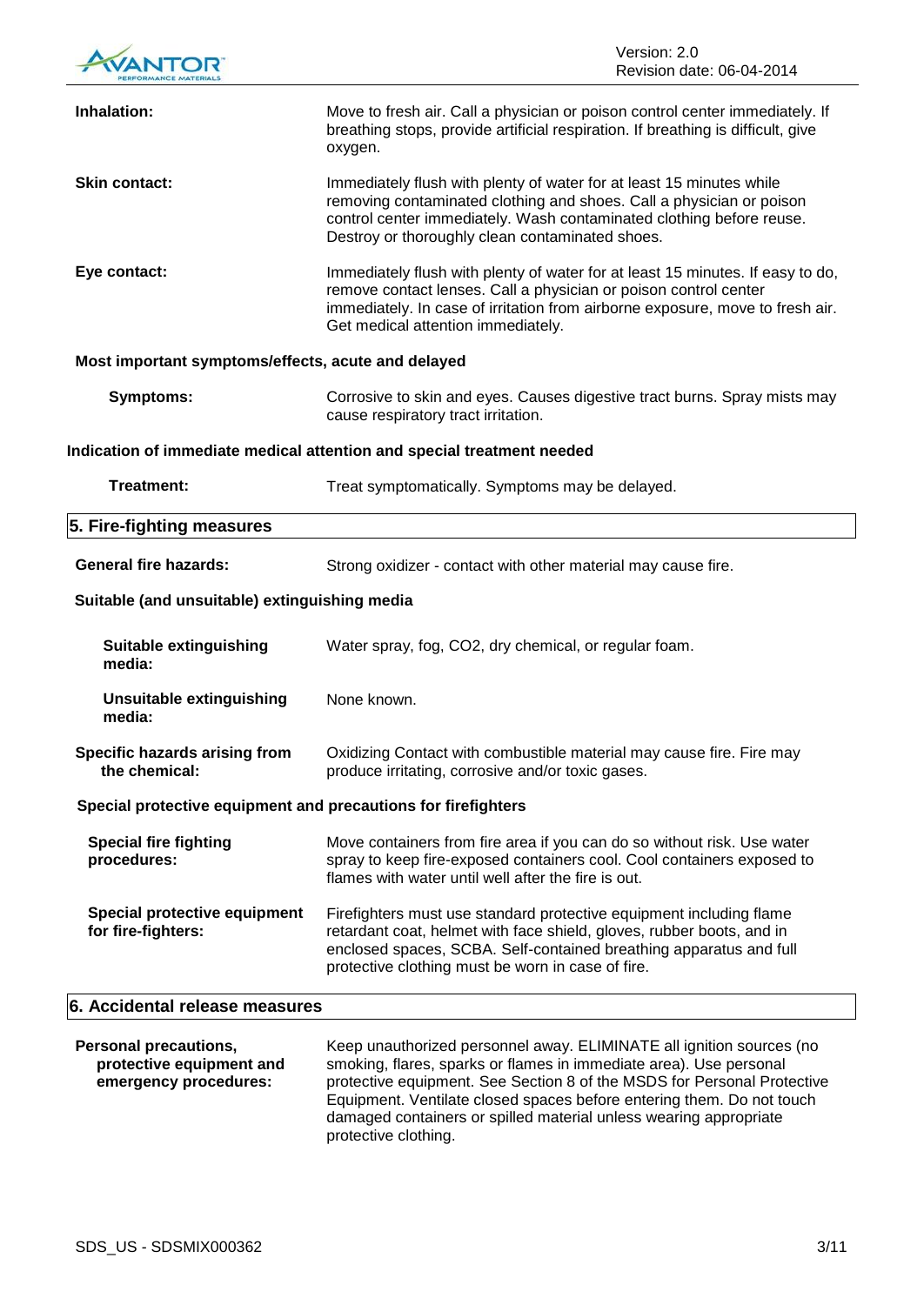|                                                                                   | Version: 2.0<br>Revision date: 06-04-2014                                                                                                                                                                                                                                 |  |  |  |
|-----------------------------------------------------------------------------------|---------------------------------------------------------------------------------------------------------------------------------------------------------------------------------------------------------------------------------------------------------------------------|--|--|--|
| Inhalation:                                                                       | Move to fresh air. Call a physician or poison control center immediately. If<br>breathing stops, provide artificial respiration. If breathing is difficult, give<br>oxygen.                                                                                               |  |  |  |
| <b>Skin contact:</b>                                                              | Immediately flush with plenty of water for at least 15 minutes while<br>removing contaminated clothing and shoes. Call a physician or poison<br>control center immediately. Wash contaminated clothing before reuse.<br>Destroy or thoroughly clean contaminated shoes.   |  |  |  |
| Eye contact:                                                                      | Immediately flush with plenty of water for at least 15 minutes. If easy to do,<br>remove contact lenses. Call a physician or poison control center<br>immediately. In case of irritation from airborne exposure, move to fresh air.<br>Get medical attention immediately. |  |  |  |
| Most important symptoms/effects, acute and delayed                                |                                                                                                                                                                                                                                                                           |  |  |  |
| <b>Symptoms:</b>                                                                  | Corrosive to skin and eyes. Causes digestive tract burns. Spray mists may<br>cause respiratory tract irritation.                                                                                                                                                          |  |  |  |
|                                                                                   | Indication of immediate medical attention and special treatment needed                                                                                                                                                                                                    |  |  |  |
| <b>Treatment:</b>                                                                 | Treat symptomatically. Symptoms may be delayed.                                                                                                                                                                                                                           |  |  |  |
| 5. Fire-fighting measures                                                         |                                                                                                                                                                                                                                                                           |  |  |  |
| <b>General fire hazards:</b>                                                      | Strong oxidizer - contact with other material may cause fire.                                                                                                                                                                                                             |  |  |  |
| Suitable (and unsuitable) extinguishing media                                     |                                                                                                                                                                                                                                                                           |  |  |  |
| <b>Suitable extinguishing</b><br>media:                                           | Water spray, fog, CO2, dry chemical, or regular foam.                                                                                                                                                                                                                     |  |  |  |
| Unsuitable extinguishing<br>media:                                                | None known.                                                                                                                                                                                                                                                               |  |  |  |
| Specific hazards arising from<br>the chemical:                                    | Oxidizing Contact with combustible material may cause fire. Fire may<br>produce irritating, corrosive and/or toxic gases.                                                                                                                                                 |  |  |  |
| Special protective equipment and precautions for firefighters                     |                                                                                                                                                                                                                                                                           |  |  |  |
| <b>Special fire fighting</b><br>procedures:                                       | Move containers from fire area if you can do so without risk. Use water<br>spray to keep fire-exposed containers cool. Cool containers exposed to<br>flames with water until well after the fire is out.                                                                  |  |  |  |
| <b>Special protective equipment</b><br>for fire-fighters:                         | Firefighters must use standard protective equipment including flame<br>retardant coat, helmet with face shield, gloves, rubber boots, and in<br>enclosed spaces, SCBA. Self-contained breathing apparatus and full<br>protective clothing must be worn in case of fire.   |  |  |  |
| 6. Accidental release measures                                                    |                                                                                                                                                                                                                                                                           |  |  |  |
| <b>Personal precautions,</b><br>protective equipment and<br>emergency procedures: | Keep unauthorized personnel away. ELIMINATE all ignition sources (no<br>smoking, flares, sparks or flames in immediate area). Use personal<br>protective equipment. See Section 8 of the MSDS for Personal Protective                                                     |  |  |  |

Equipment. Ventilate closed spaces before entering them. Do not touch damaged containers or spilled material unless wearing appropriate protective clothing.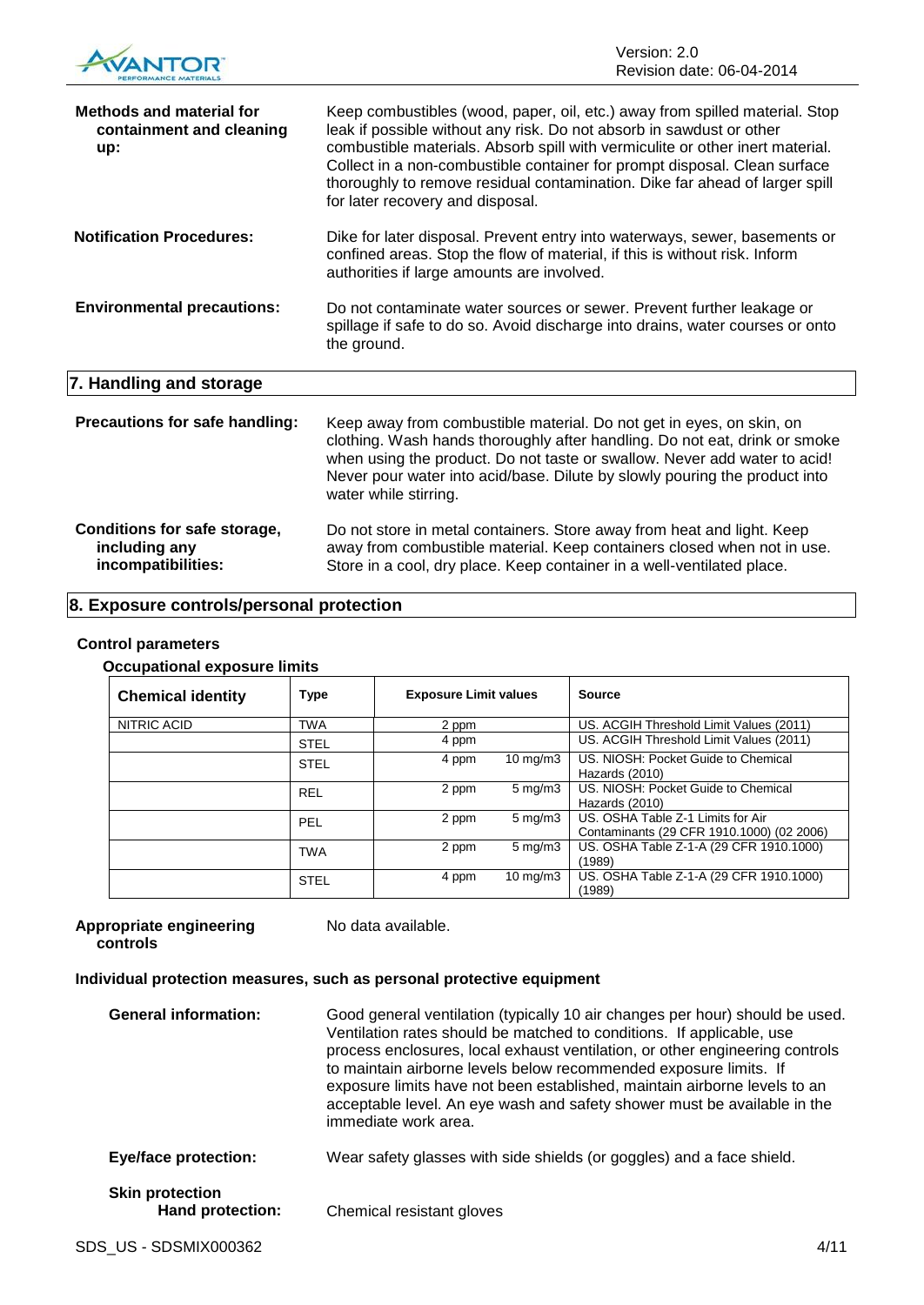

| <b>Methods and material for</b><br>containment and cleaning<br>up:  | Keep combustibles (wood, paper, oil, etc.) away from spilled material. Stop<br>leak if possible without any risk. Do not absorb in sawdust or other<br>combustible materials. Absorb spill with vermiculite or other inert material.<br>Collect in a non-combustible container for prompt disposal. Clean surface<br>thoroughly to remove residual contamination. Dike far ahead of larger spill<br>for later recovery and disposal. |
|---------------------------------------------------------------------|--------------------------------------------------------------------------------------------------------------------------------------------------------------------------------------------------------------------------------------------------------------------------------------------------------------------------------------------------------------------------------------------------------------------------------------|
| <b>Notification Procedures:</b>                                     | Dike for later disposal. Prevent entry into waterways, sewer, basements or<br>confined areas. Stop the flow of material, if this is without risk. Inform<br>authorities if large amounts are involved.                                                                                                                                                                                                                               |
| <b>Environmental precautions:</b>                                   | Do not contaminate water sources or sewer. Prevent further leakage or<br>spillage if safe to do so. Avoid discharge into drains, water courses or onto<br>the ground.                                                                                                                                                                                                                                                                |
| 7. Handling and storage                                             |                                                                                                                                                                                                                                                                                                                                                                                                                                      |
| Precautions for safe handling:                                      | Keep away from combustible material. Do not get in eyes, on skin, on<br>clothing. Wash hands thoroughly after handling. Do not eat, drink or smoke<br>when using the product. Do not taste or swallow. Never add water to acid!<br>Never pour water into acid/base. Dilute by slowly pouring the product into<br>water while stirring.                                                                                               |
| Conditions for safe storage,<br>including any<br>incompatibilities: | Do not store in metal containers. Store away from heat and light. Keep<br>away from combustible material. Keep containers closed when not in use.<br>Store in a cool, dry place. Keep container in a well-ventilated place.                                                                                                                                                                                                          |

## **8. Exposure controls/personal protection**

#### **Control parameters**

|  | <b>Occupational exposure limits</b> |  |
|--|-------------------------------------|--|
|  |                                     |  |

| <b>Chemical identity</b> | <b>Type</b> | <b>Exposure Limit values</b> |                   | <b>Source</b>                                                                  |
|--------------------------|-------------|------------------------------|-------------------|--------------------------------------------------------------------------------|
| NITRIC ACID              | <b>TWA</b>  | 2 ppm                        |                   | US. ACGIH Threshold Limit Values (2011)                                        |
|                          | <b>STEL</b> | 4 ppm                        |                   | US. ACGIH Threshold Limit Values (2011)                                        |
|                          | <b>STEL</b> | 4 ppm                        | 10 mg/m $3$       | US. NIOSH: Pocket Guide to Chemical<br>Hazards (2010)                          |
|                          | <b>REL</b>  | 2 ppm                        | $5 \text{ mg/m}$  | US. NIOSH: Pocket Guide to Chemical<br>Hazards (2010)                          |
|                          | PEL         | 2 ppm                        | $5 \text{ mg/m}$  | US. OSHA Table Z-1 Limits for Air<br>Contaminants (29 CFR 1910.1000) (02 2006) |
|                          | <b>TWA</b>  | 2 ppm                        | $5 \text{ mg/m}$  | US. OSHA Table Z-1-A (29 CFR 1910.1000)<br>(1989)                              |
|                          | <b>STEL</b> | 4 ppm                        | $10 \text{ mg/m}$ | US. OSHA Table Z-1-A (29 CFR 1910.1000)<br>(1989)                              |

#### **Appropriate engineering controls**

No data available.

## **Individual protection measures, such as personal protective equipment**

| <b>General information:</b>                | Good general ventilation (typically 10 air changes per hour) should be used.<br>Ventilation rates should be matched to conditions. If applicable, use<br>process enclosures, local exhaust ventilation, or other engineering controls<br>to maintain airborne levels below recommended exposure limits. If<br>exposure limits have not been established, maintain airborne levels to an<br>acceptable level. An eye wash and safety shower must be available in the<br>immediate work area. |
|--------------------------------------------|---------------------------------------------------------------------------------------------------------------------------------------------------------------------------------------------------------------------------------------------------------------------------------------------------------------------------------------------------------------------------------------------------------------------------------------------------------------------------------------------|
| <b>Eye/face protection:</b>                | Wear safety glasses with side shields (or goggles) and a face shield.                                                                                                                                                                                                                                                                                                                                                                                                                       |
| <b>Skin protection</b><br>Hand protection: | Chemical resistant gloves                                                                                                                                                                                                                                                                                                                                                                                                                                                                   |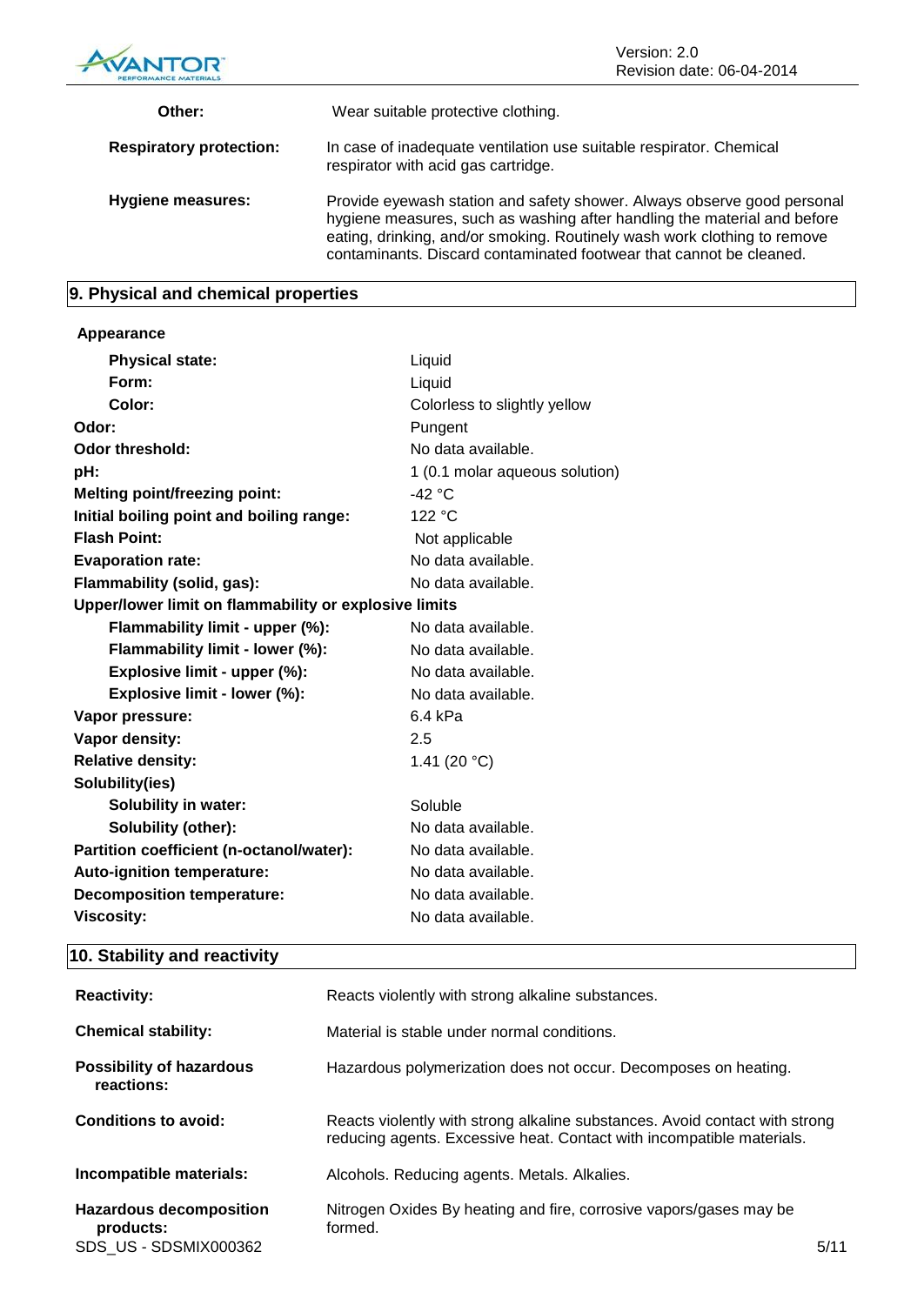

| Other:                         | Wear suitable protective clothing.                                                                                                                                                                                                                                                                     |
|--------------------------------|--------------------------------------------------------------------------------------------------------------------------------------------------------------------------------------------------------------------------------------------------------------------------------------------------------|
| <b>Respiratory protection:</b> | In case of inadequate ventilation use suitable respirator. Chemical<br>respirator with acid gas cartridge.                                                                                                                                                                                             |
| Hygiene measures:              | Provide eyewash station and safety shower. Always observe good personal<br>hygiene measures, such as washing after handling the material and before<br>eating, drinking, and/or smoking. Routinely wash work clothing to remove<br>contaminants. Discard contaminated footwear that cannot be cleaned. |

## **9. Physical and chemical properties**

## **Appearance**

| <b>Physical state:</b>                                | Liquid                         |
|-------------------------------------------------------|--------------------------------|
| Form:                                                 | Liquid                         |
| Color:                                                | Colorless to slightly yellow   |
| Odor:                                                 | Pungent                        |
| Odor threshold:                                       | No data available.             |
| pH:                                                   | 1 (0.1 molar aqueous solution) |
| <b>Melting point/freezing point:</b>                  | -42 °C                         |
| Initial boiling point and boiling range:              | 122 °C                         |
| <b>Flash Point:</b>                                   | Not applicable                 |
| <b>Evaporation rate:</b>                              | No data available.             |
| Flammability (solid, gas):                            | No data available.             |
| Upper/lower limit on flammability or explosive limits |                                |
| Flammability limit - upper (%):                       | No data available.             |
| Flammability limit - lower (%):                       | No data available.             |
| Explosive limit - upper (%):                          | No data available.             |
| Explosive limit - lower (%):                          | No data available.             |
| Vapor pressure:                                       | $6.4$ kPa                      |
| Vapor density:                                        | 2.5                            |
| <b>Relative density:</b>                              | 1.41 (20 $°C$ )                |
| Solubility(ies)                                       |                                |
| <b>Solubility in water:</b>                           | Soluble                        |
| Solubility (other):                                   | No data available.             |
| Partition coefficient (n-octanol/water):              | No data available.             |
| Auto-ignition temperature:                            | No data available.             |
| <b>Decomposition temperature:</b>                     | No data available.             |
| <b>Viscosity:</b>                                     | No data available.             |

## **10. Stability and reactivity**

| <b>Reactivity:</b>                                                   | Reacts violently with strong alkaline substances.                                                                                                    |      |
|----------------------------------------------------------------------|------------------------------------------------------------------------------------------------------------------------------------------------------|------|
| <b>Chemical stability:</b>                                           | Material is stable under normal conditions.                                                                                                          |      |
| <b>Possibility of hazardous</b><br>reactions:                        | Hazardous polymerization does not occur. Decomposes on heating.                                                                                      |      |
| Conditions to avoid:                                                 | Reacts violently with strong alkaline substances. Avoid contact with strong<br>reducing agents. Excessive heat. Contact with incompatible materials. |      |
| Incompatible materials:                                              | Alcohols. Reducing agents. Metals. Alkalies.                                                                                                         |      |
| <b>Hazardous decomposition</b><br>products:<br>SDS US - SDSMIX000362 | Nitrogen Oxides By heating and fire, corrosive vapors/gases may be<br>formed.                                                                        | 5/11 |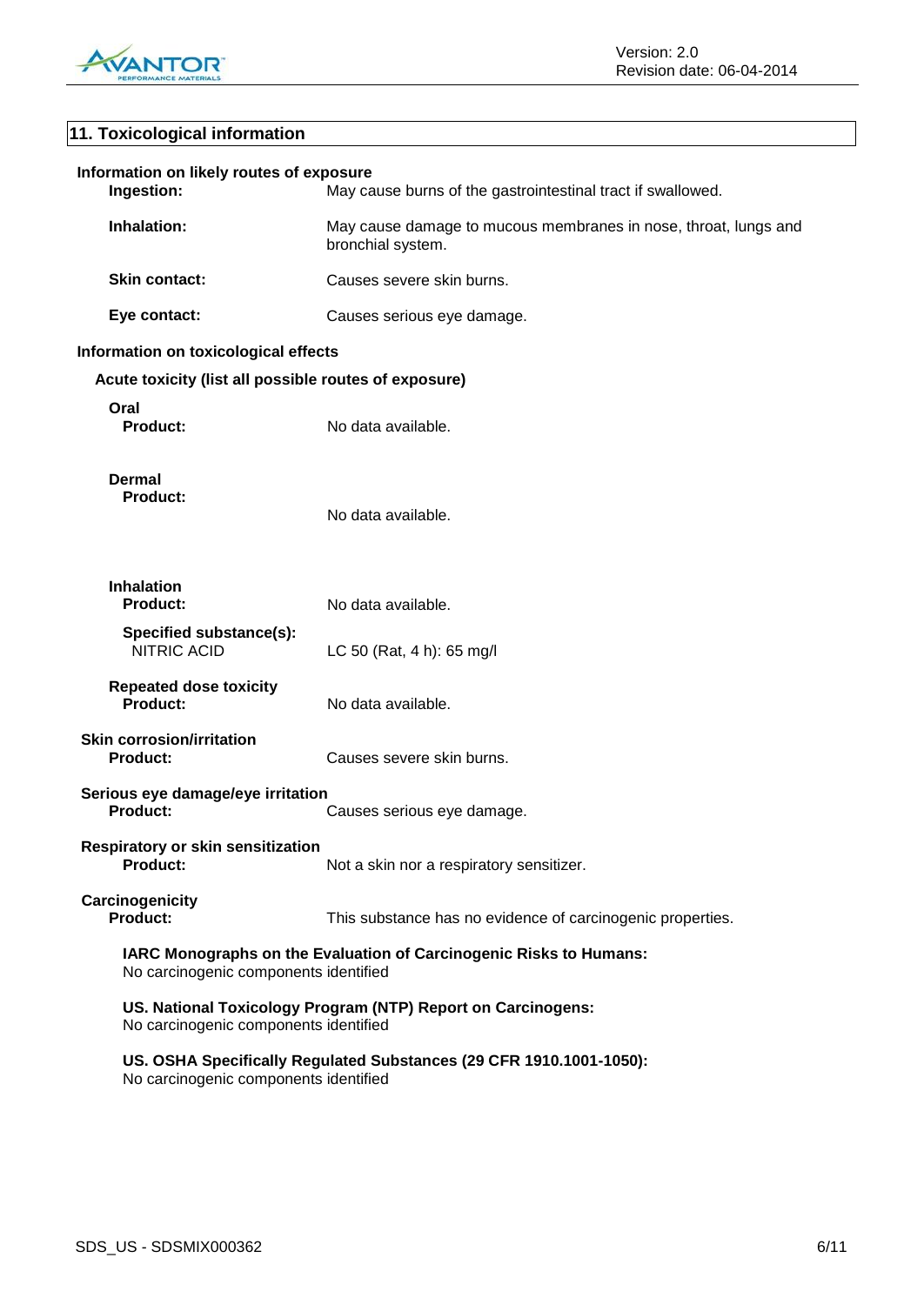

## **11. Toxicological information**

| Information on likely routes of exposure<br>Ingestion:                                                       | May cause burns of the gastrointestinal tract if swallowed.                          |  |
|--------------------------------------------------------------------------------------------------------------|--------------------------------------------------------------------------------------|--|
| Inhalation:                                                                                                  | May cause damage to mucous membranes in nose, throat, lungs and<br>bronchial system. |  |
| <b>Skin contact:</b>                                                                                         | Causes severe skin burns.                                                            |  |
| Eye contact:                                                                                                 | Causes serious eye damage.                                                           |  |
| Information on toxicological effects                                                                         |                                                                                      |  |
| Acute toxicity (list all possible routes of exposure)                                                        |                                                                                      |  |
| Oral<br>Product:                                                                                             | No data available.                                                                   |  |
| <b>Dermal</b><br><b>Product:</b>                                                                             | No data available.                                                                   |  |
| <b>Inhalation</b><br><b>Product:</b>                                                                         | No data available.                                                                   |  |
| Specified substance(s):<br>NITRIC ACID                                                                       | LC 50 (Rat, 4 h): 65 mg/l                                                            |  |
| <b>Repeated dose toxicity</b><br><b>Product:</b>                                                             | No data available.                                                                   |  |
| <b>Skin corrosion/irritation</b><br><b>Product:</b>                                                          | Causes severe skin burns.                                                            |  |
| Serious eye damage/eye irritation<br><b>Product:</b>                                                         | Causes serious eye damage.                                                           |  |
| <b>Respiratory or skin sensitization</b><br><b>Product:</b>                                                  | Not a skin nor a respiratory sensitizer.                                             |  |
| Carcinogenicity<br><b>Product:</b>                                                                           | This substance has no evidence of carcinogenic properties.                           |  |
| IARC Monographs on the Evaluation of Carcinogenic Risks to Humans:<br>No carcinogenic components identified  |                                                                                      |  |
| US. National Toxicology Program (NTP) Report on Carcinogens:<br>No carcinogenic components identified        |                                                                                      |  |
| US. OSHA Specifically Regulated Substances (29 CFR 1910.1001-1050):<br>No carcinogenic components identified |                                                                                      |  |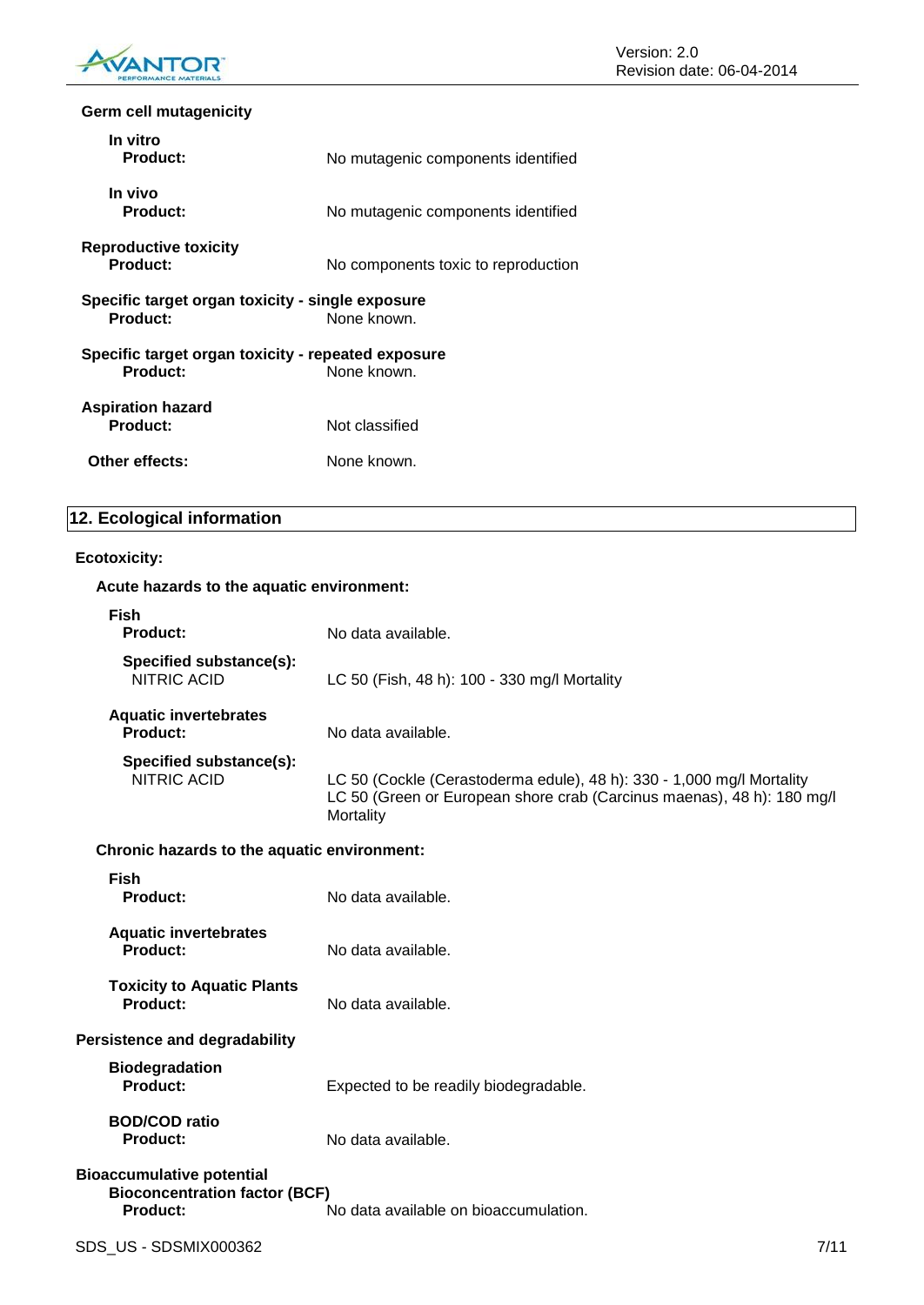

## **Germ cell mutagenicity**

| In vitro<br>Product:                                                  | No mutagenic components identified  |
|-----------------------------------------------------------------------|-------------------------------------|
| In vivo<br>Product:                                                   | No mutagenic components identified  |
| <b>Reproductive toxicity</b><br>Product:                              | No components toxic to reproduction |
| Specific target organ toxicity - single exposure<br>Product:          | None known.                         |
| Specific target organ toxicity - repeated exposure<br><b>Product:</b> | None known.                         |
| <b>Aspiration hazard</b><br>Product:                                  | Not classified                      |
| Other effects:                                                        | None known.                         |

## **12. Ecological information**

#### **Ecotoxicity:**

| Acute hazards to the aquatic environment:                                                   |                                                                                                                                                              |      |
|---------------------------------------------------------------------------------------------|--------------------------------------------------------------------------------------------------------------------------------------------------------------|------|
| <b>Fish</b><br>Product:                                                                     | No data available.                                                                                                                                           |      |
| Specified substance(s):<br><b>NITRIC ACID</b>                                               | LC 50 (Fish, 48 h): 100 - 330 mg/l Mortality                                                                                                                 |      |
| <b>Aquatic invertebrates</b><br>Product:                                                    | No data available.                                                                                                                                           |      |
| Specified substance(s):<br><b>NITRIC ACID</b>                                               | LC 50 (Cockle (Cerastoderma edule), 48 h): 330 - 1,000 mg/l Mortality<br>LC 50 (Green or European shore crab (Carcinus maenas), 48 h): 180 mg/l<br>Mortality |      |
| Chronic hazards to the aquatic environment:                                                 |                                                                                                                                                              |      |
| <b>Fish</b><br>Product:                                                                     | No data available.                                                                                                                                           |      |
| <b>Aquatic invertebrates</b><br><b>Product:</b>                                             | No data available.                                                                                                                                           |      |
| <b>Toxicity to Aquatic Plants</b><br><b>Product:</b>                                        | No data available.                                                                                                                                           |      |
| <b>Persistence and degradability</b>                                                        |                                                                                                                                                              |      |
| <b>Biodegradation</b><br><b>Product:</b>                                                    | Expected to be readily biodegradable.                                                                                                                        |      |
| <b>BOD/COD ratio</b><br><b>Product:</b>                                                     | No data available.                                                                                                                                           |      |
| <b>Bioaccumulative potential</b><br><b>Bioconcentration factor (BCF)</b><br><b>Product:</b> | No data available on bioaccumulation.                                                                                                                        |      |
| SDS US - SDSMIX000362                                                                       |                                                                                                                                                              | 7/11 |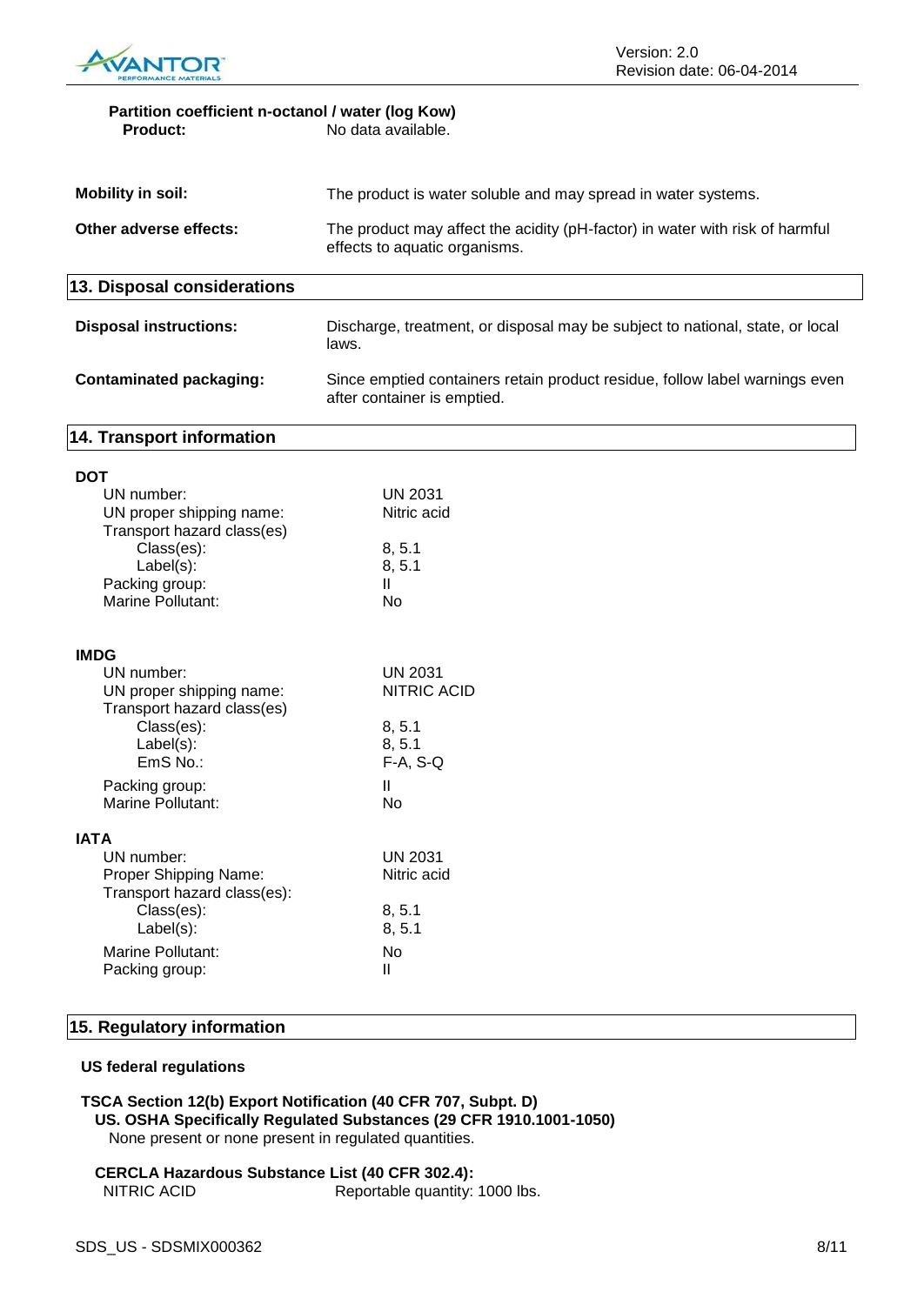

#### **Partition coefficient n-octanol / water (log Kow)**<br>No data available. **Product:** No data available.

| Mobility in soil:             | The product is water soluble and may spread in water systems.                                                 |  |
|-------------------------------|---------------------------------------------------------------------------------------------------------------|--|
| Other adverse effects:        | The product may affect the acidity (pH-factor) in water with risk of harmful<br>effects to aquatic organisms. |  |
| 13. Disposal considerations   |                                                                                                               |  |
| <b>Disposal instructions:</b> | Discharge, treatment, or disposal may be subject to national, state, or local                                 |  |

## **Contaminated packaging:** Since emptied containers retain product residue, follow label warnings even after container is emptied.

### **14. Transport information**

**DOT**

| וטע                                                                                          |                                |
|----------------------------------------------------------------------------------------------|--------------------------------|
| UN number:<br>UN proper shipping name:                                                       | <b>UN 2031</b><br>Nitric acid  |
| Transport hazard class(es)<br>Class(es):<br>Label(s):<br>Packing group:<br>Marine Pollutant: | 8, 5.1<br>8, 5.1<br>Ш<br>Nο    |
| <b>IMDG</b>                                                                                  |                                |
| UN number:<br>UN proper shipping name:<br>Transport hazard class(es)                         | UN 2031<br><b>NITRIC ACID</b>  |
| Class(es):<br>Label(s):<br>EmS No.:                                                          | 8, 5.1<br>8, 5.1<br>$F-A, S-Q$ |
| Packing group:<br>Marine Pollutant:                                                          | Ш<br>No                        |
| IATA                                                                                         |                                |
| UN number:<br>Proper Shipping Name:<br>Transport hazard class(es):                           | UN 2031<br>Nitric acid         |
| Class(es):<br>Label(s):                                                                      | 8, 5.1<br>8, 5.1               |
| Marine Pollutant:<br>Packing group:                                                          | No<br>Ш                        |
|                                                                                              |                                |

#### **15. Regulatory information**

#### **US federal regulations**

**TSCA Section 12(b) Export Notification (40 CFR 707, Subpt. D) US. OSHA Specifically Regulated Substances (29 CFR 1910.1001-1050)** None present or none present in regulated quantities.

#### **CERCLA Hazardous Substance List (40 CFR 302.4):** NITRIC ACID Reportable quantity: 1000 lbs.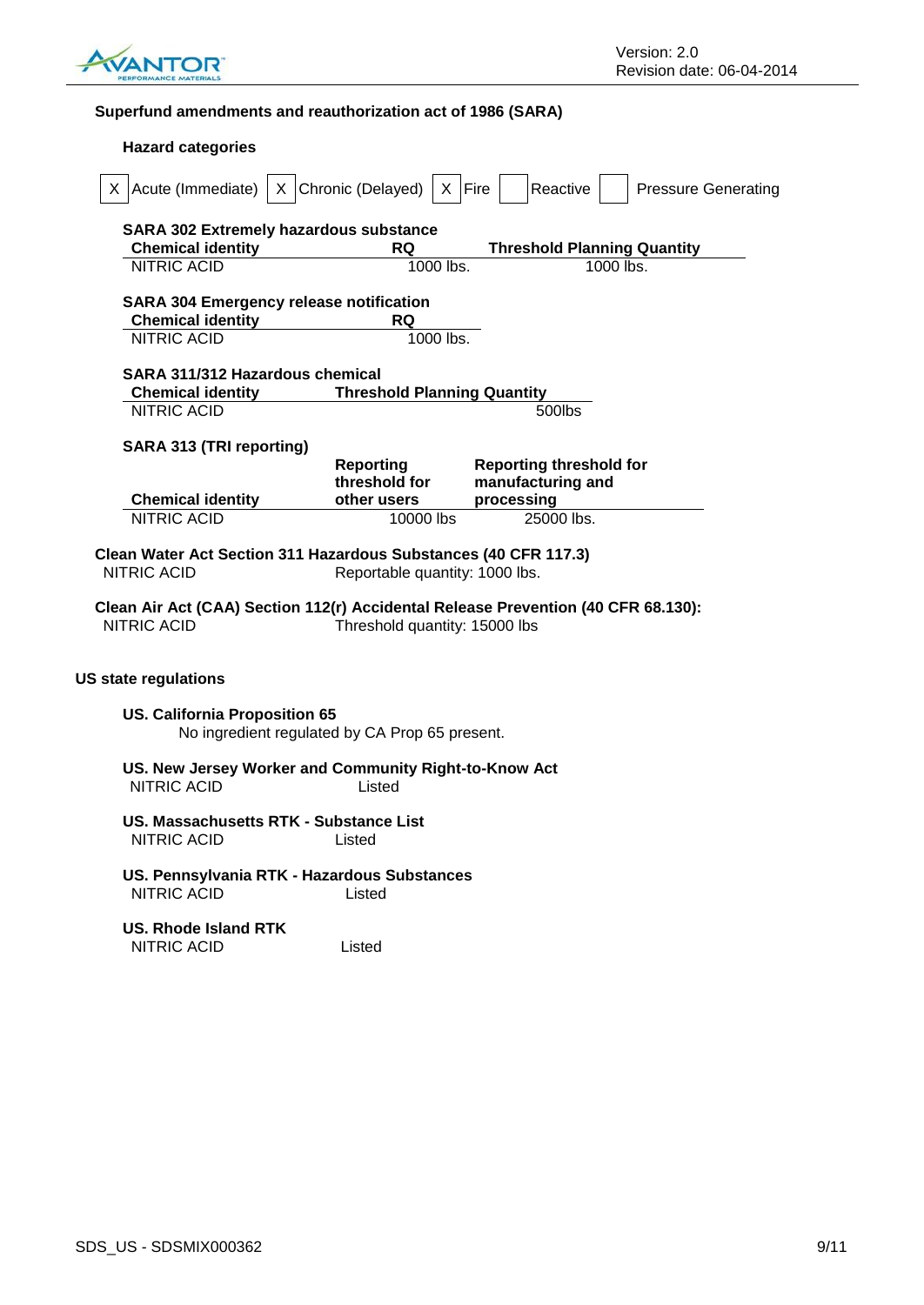

## **Superfund amendments and reauthorization act of 1986 (SARA)**

| $X$ Acute (Immediate)                                                                 | X Chronic (Delayed)<br>$\mathsf{X}$            | Fire<br>Reactive<br><b>Pressure Generating</b>                                    |  |
|---------------------------------------------------------------------------------------|------------------------------------------------|-----------------------------------------------------------------------------------|--|
| <b>SARA 302 Extremely hazardous substance</b>                                         |                                                |                                                                                   |  |
| <b>Chemical identity</b>                                                              | <b>RQ</b>                                      | <b>Threshold Planning Quantity</b>                                                |  |
| <b>NITRIC ACID</b>                                                                    | 1000 lbs.                                      | $1000$ lbs.                                                                       |  |
| <b>SARA 304 Emergency release notification</b>                                        |                                                |                                                                                   |  |
| <b>Chemical identity</b>                                                              | <b>RQ</b>                                      |                                                                                   |  |
| <b>NITRIC ACID</b>                                                                    | 1000 lbs.                                      |                                                                                   |  |
| SARA 311/312 Hazardous chemical                                                       |                                                |                                                                                   |  |
| <b>Chemical identity</b>                                                              | <b>Threshold Planning Quantity</b>             |                                                                                   |  |
| <b>NITRIC ACID</b>                                                                    |                                                | 500lbs                                                                            |  |
| <b>SARA 313 (TRI reporting)</b>                                                       |                                                |                                                                                   |  |
|                                                                                       | <b>Reporting</b>                               | <b>Reporting threshold for</b>                                                    |  |
|                                                                                       | threshold for                                  | manufacturing and                                                                 |  |
|                                                                                       |                                                |                                                                                   |  |
| <b>Chemical identity</b>                                                              | other users                                    | processing                                                                        |  |
| <b>NITRIC ACID</b><br>Clean Water Act Section 311 Hazardous Substances (40 CFR 117.3) | 10000 lbs                                      | 25000 lbs.                                                                        |  |
| NITRIC ACID                                                                           | Reportable quantity: 1000 lbs.                 |                                                                                   |  |
| <b>NITRIC ACID</b>                                                                    | Threshold quantity: 15000 lbs                  | Clean Air Act (CAA) Section 112(r) Accidental Release Prevention (40 CFR 68.130): |  |
| <b>US state regulations</b>                                                           |                                                |                                                                                   |  |
| <b>US. California Proposition 65</b>                                                  | No ingredient regulated by CA Prop 65 present. |                                                                                   |  |
| US. New Jersey Worker and Community Right-to-Know Act<br><b>NITRIC ACID</b>           | Listed                                         |                                                                                   |  |
| US. Massachusetts RTK - Substance List<br>NITRIC ACID                                 | Listed                                         |                                                                                   |  |
| US. Pennsylvania RTK - Hazardous Substances<br><b>NITRIC ACID</b>                     | Listed                                         |                                                                                   |  |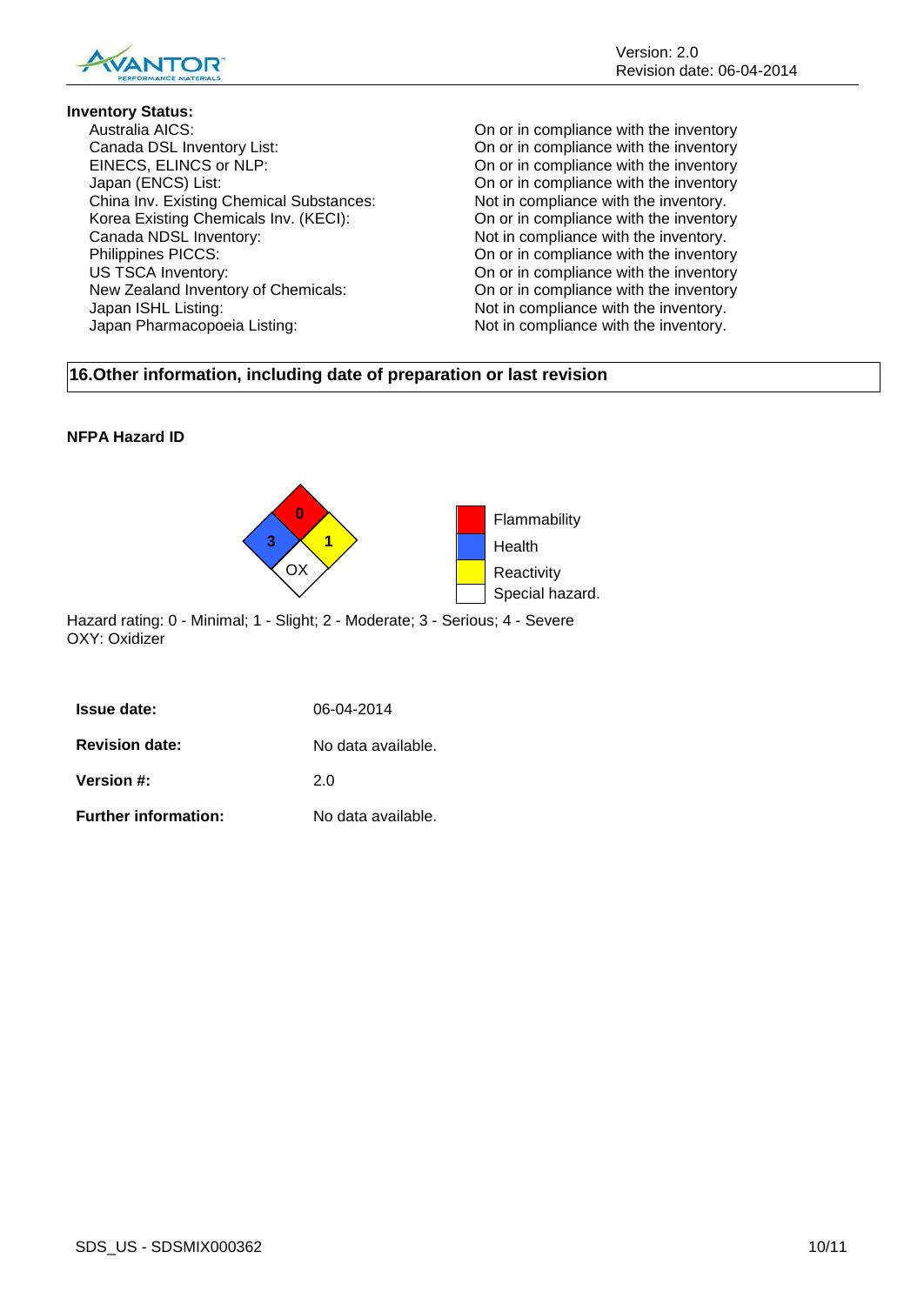

## **Inventory Status:**

Canada DSL Inventory List: On or in compliance with the inventory EINECS, ELINCS or NLP: On or in compliance with the inventory Japan (ENCS) List:<br>
China Inv. Existing Chemical Substances: On or in compliance with the inventory.<br>
Not in compliance with the inventory. China Inv. Existing Chemical Substances: Not in compliance with the inventory.<br>Korea Existing Chemicals Inv. (KECI): On or in compliance with the inventory Korea Existing Chemicals Inv. (KECI): Canada NDSL Inventory:<br>
Philippines PICCS: Not in compliance with the inventory.<br>
On or in compliance with the inventor US TSCA Inventory:<br>
New Zealand Inventory of Chemicals:<br>
On or in compliance with the inventory<br>
On or in compliance with the inventory Japan ISHL Listing:  $\blacksquare$ Japan Pharmacopoeia Listing: Not in compliance with the inventory.

On or in compliance with the inventory On or in compliance with the inventory On or in compliance with the inventory

## **16.Other information, including date of preparation or last revision**

## **NFPA Hazard ID**



Hazard rating: 0 - Minimal; 1 - Slight; 2 - Moderate; 3 - Serious; 4 - Severe OXY: Oxidizer

| <b>Issue date:</b>    | 06-04-2014         |
|-----------------------|--------------------|
| <b>Revision date:</b> | No data available. |
| <b>Version #:</b>     | 2 O                |
|                       |                    |

**Further information:** No data available.